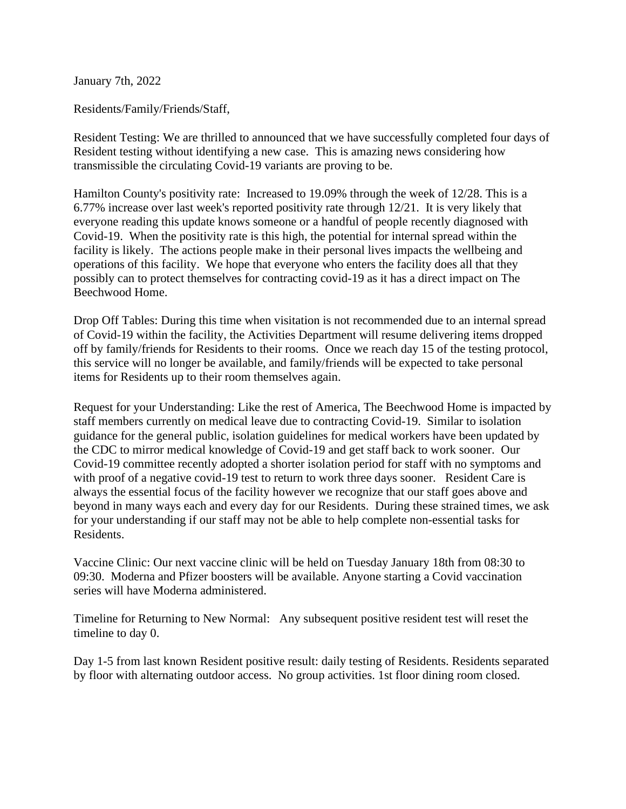January 7th, 2022

Residents/Family/Friends/Staff,

Resident Testing: We are thrilled to announced that we have successfully completed four days of Resident testing without identifying a new case. This is amazing news considering how transmissible the circulating Covid-19 variants are proving to be.

Hamilton County's positivity rate: Increased to 19.09% through the week of 12/28. This is a 6.77% increase over last week's reported positivity rate through 12/21. It is very likely that everyone reading this update knows someone or a handful of people recently diagnosed with Covid-19. When the positivity rate is this high, the potential for internal spread within the facility is likely. The actions people make in their personal lives impacts the wellbeing and operations of this facility. We hope that everyone who enters the facility does all that they possibly can to protect themselves for contracting covid-19 as it has a direct impact on The Beechwood Home.

Drop Off Tables: During this time when visitation is not recommended due to an internal spread of Covid-19 within the facility, the Activities Department will resume delivering items dropped off by family/friends for Residents to their rooms. Once we reach day 15 of the testing protocol, this service will no longer be available, and family/friends will be expected to take personal items for Residents up to their room themselves again.

Request for your Understanding: Like the rest of America, The Beechwood Home is impacted by staff members currently on medical leave due to contracting Covid-19. Similar to isolation guidance for the general public, isolation guidelines for medical workers have been updated by the CDC to mirror medical knowledge of Covid-19 and get staff back to work sooner. Our Covid-19 committee recently adopted a shorter isolation period for staff with no symptoms and with proof of a negative covid-19 test to return to work three days sooner. Resident Care is always the essential focus of the facility however we recognize that our staff goes above and beyond in many ways each and every day for our Residents. During these strained times, we ask for your understanding if our staff may not be able to help complete non-essential tasks for Residents.

Vaccine Clinic: Our next vaccine clinic will be held on Tuesday January 18th from 08:30 to 09:30. Moderna and Pfizer boosters will be available. Anyone starting a Covid vaccination series will have Moderna administered.

Timeline for Returning to New Normal: Any subsequent positive resident test will reset the timeline to day 0.

Day 1-5 from last known Resident positive result: daily testing of Residents. Residents separated by floor with alternating outdoor access. No group activities. 1st floor dining room closed.